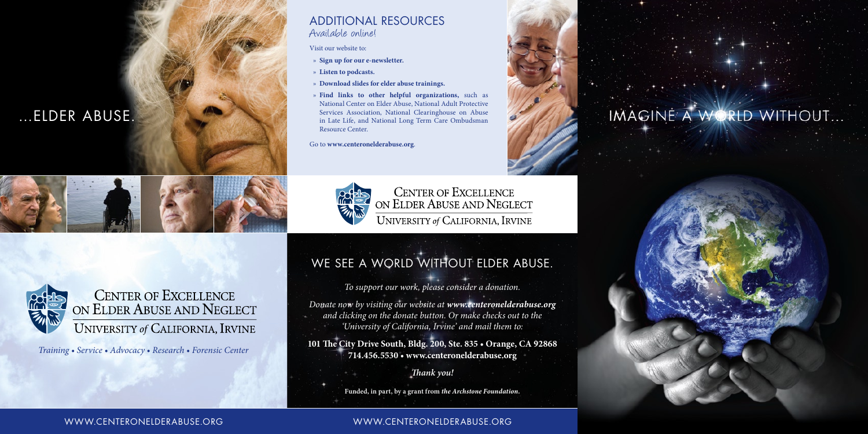# …ELDER ABUSE.



## ADDITIONAL RESOURCES Additional resourcesAvailable online!

**Adult Protective Services** or "APS" is the social services of "APS" is the social services of "APS" is the social services of "APS" is the social services of "APS" is the social services of "APS" is the social service of

- » **Sign up for our e-newsletter.** abuse of seniors and or adults with disabilities. Applies and or adults with disabilities. Applies to a senior
- **Existen to podcasts.** The different name, exists in  $\mathbb{R}^n$
- » Download slides for elder abuse trainings.
- » **Find links to other helpful organizations,** such as National Center on Elder Abuse, National Adult Protective Services Association, National Clearinghouse on Abuse in Late Life, and National Long Term Care Ombudsman Resource Center.

Go to **www.centeronelderabuse.org**.





CENTER OF EXCELLENCE<br>ON ELDER ABUSE AND NEGLECT UNIVERSITY of CALIFORNIA, IRVINE



 $E$  on  $F$  depending a very spirit of  $\Gamma$ physical, empty into the matter health may never health may never  $\mathbf{W}$  is in the consequence consequences:  $\mathbf{W}$ **place department of the place of the place of the state of the state of the state of the state of the state of the state of the state of the state of the state of the state of the state of the state of the state of the st** 

Training, Sarvice, Advocacy, Docograp, Eoronsic Contor the **Center of Excellence in Elder Abuse and Neglect** serves victims of abuse, their *Training • Service • Advocacy • Research • Forensic Center*

### WWW.CENTERONELDERABUSE.ORG WWW.CENTERONELDERABUSE.ORG www.centeronelderabuse.org www.centeronelderabuse.org

# IMAGINE A WORLD WITHOUT...

*For more information or to make a donation, and clicking on the donate button. Or make checks out to the please visit us online at www.centeronelderabuse.org 'University of California, Irvine' and mail them to: Donate now by visiting our website at www.centeronelderabuse.org*

*or give us a call at 714-456-5530. Th ank you!* **714.456.5530 • www.centeronelderabuse.org 101 The City Drive South, Bldg. 200, Ste. 835 • Orange, CA 92868**

## We see a world without elder abuse.

*To support our work, please consider a donation.* 

*Thank you!*

**Funded, in part, by a grant from** *the Archstone Foundation.*